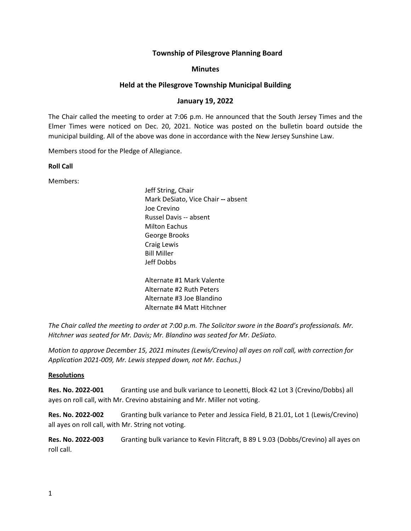# **Township of Pilesgrove Planning Board**

### **Minutes**

## **Held at the Pilesgrove Township Municipal Building**

# **January 19, 2022**

The Chair called the meeting to order at 7:06 p.m. He announced that the South Jersey Times and the Elmer Times were noticed on Dec. 20, 2021. Notice was posted on the bulletin board outside the municipal building. All of the above was done in accordance with the New Jersey Sunshine Law.

Members stood for the Pledge of Allegiance.

**Roll Call**

Members:

Jeff String, Chair Mark DeSiato, Vice Chair **--** absent Joe Crevino Russel Davis -- absent Milton Eachus George Brooks Craig Lewis Bill Miller Jeff Dobbs

Alternate #1 Mark Valente Alternate #2 Ruth Peters Alternate #3 Joe Blandino Alternate #4 Matt Hitchner

*The Chair called the meeting to order at 7:00 p.m. The Solicitor swore in the Board's professionals. Mr. Hitchner was seated for Mr. Davis; Mr. Blandino was seated for Mr. DeSiato.*

*Motion to approve December 15, 2021 minutes (Lewis/Crevino) all ayes on roll call, with correction for Application 2021-009, Mr. Lewis stepped down, not Mr. Eachus.)*

### **Resolutions**

**Res. No. 2022-001** Granting use and bulk variance to Leonetti, Block 42 Lot 3 (Crevino/Dobbs) all ayes on roll call, with Mr. Crevino abstaining and Mr. Miller not voting.

**Res. No. 2022-002** Granting bulk variance to Peter and Jessica Field, B 21.01, Lot 1 (Lewis/Crevino) all ayes on roll call, with Mr. String not voting.

**Res. No. 2022-003** Granting bulk variance to Kevin Flitcraft, B 89 L 9.03 (Dobbs/Crevino) all ayes on roll call.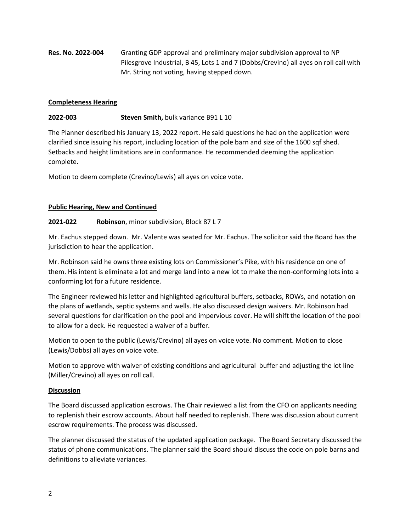**Res. No. 2022-004** Granting GDP approval and preliminary major subdivision approval to NP Pilesgrove Industrial, B 45, Lots 1 and 7 (Dobbs/Crevino) all ayes on roll call with Mr. String not voting, having stepped down.

## **Completeness Hearing**

# **2022-003 Steven Smith,** bulk variance B91 L 10

The Planner described his January 13, 2022 report. He said questions he had on the application were clarified since issuing his report, including location of the pole barn and size of the 1600 sqf shed. Setbacks and height limitations are in conformance. He recommended deeming the application complete.

Motion to deem complete (Crevino/Lewis) all ayes on voice vote.

### **Public Hearing, New and Continued**

### **2021-022 Robinson**, minor subdivision, Block 87 L 7

Mr. Eachus stepped down. Mr. Valente was seated for Mr. Eachus. The solicitor said the Board has the jurisdiction to hear the application.

Mr. Robinson said he owns three existing lots on Commissioner's Pike, with his residence on one of them. His intent is eliminate a lot and merge land into a new lot to make the non-conforming lots into a conforming lot for a future residence.

The Engineer reviewed his letter and highlighted agricultural buffers, setbacks, ROWs, and notation on the plans of wetlands, septic systems and wells. He also discussed design waivers. Mr. Robinson had several questions for clarification on the pool and impervious cover. He will shift the location of the pool to allow for a deck. He requested a waiver of a buffer.

Motion to open to the public (Lewis/Crevino) all ayes on voice vote. No comment. Motion to close (Lewis/Dobbs) all ayes on voice vote.

Motion to approve with waiver of existing conditions and agricultural buffer and adjusting the lot line (Miller/Crevino) all ayes on roll call.

### **Discussion**

The Board discussed application escrows. The Chair reviewed a list from the CFO on applicants needing to replenish their escrow accounts. About half needed to replenish. There was discussion about current escrow requirements. The process was discussed.

The planner discussed the status of the updated application package. The Board Secretary discussed the status of phone communications. The planner said the Board should discuss the code on pole barns and definitions to alleviate variances.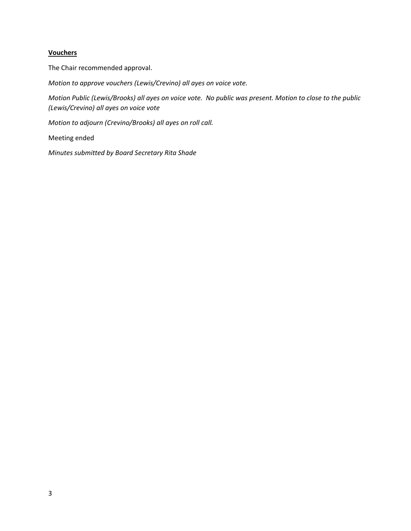## **Vouchers**

The Chair recommended approval.

*Motion to approve vouchers (Lewis/Crevino) all ayes on voice vote.*

*Motion Public (Lewis/Brooks) all ayes on voice vote. No public was present. Motion to close to the public (Lewis/Crevino) all ayes on voice vote*

*Motion to adjourn (Crevino/Brooks) all ayes on roll call.*

Meeting ended

*Minutes submitted by Board Secretary Rita Shade*